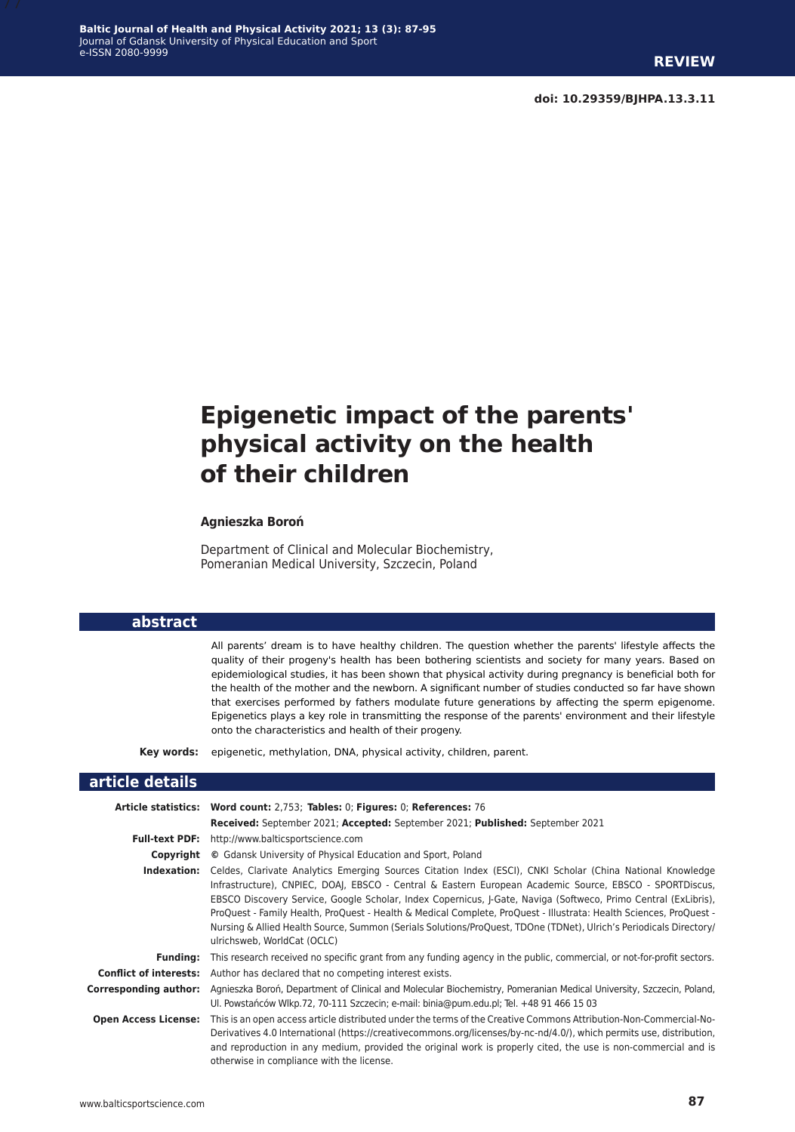**doi: 10.29359/BJHPA.13.3.11**

# **Epigenetic impact of the parents' physical activity on the health of their children**

#### **Agnieszka Boroń**

Department of Clinical and Molecular Biochemistry, Pomeranian Medical University, Szczecin, Poland

#### **abstract**

All parents' dream is to have healthy children. The question whether the parents' lifestyle affects the quality of their progeny's health has been bothering scientists and society for many years. Based on epidemiological studies, it has been shown that physical activity during pregnancy is beneficial both for the health of the mother and the newborn. A significant number of studies conducted so far have shown that exercises performed by fathers modulate future generations by affecting the sperm epigenome. Epigenetics plays a key role in transmitting the response of the parents' environment and their lifestyle onto the characteristics and health of their progeny.

**Key words:** epigenetic, methylation, DNA, physical activity, children, parent.

#### **article details**

|                               | Article statistics: Word count: 2,753; Tables: 0; Figures: 0; References: 76                                                                                                                                                                                                                                                                                                                                                                                                                                                                                                                                       |
|-------------------------------|--------------------------------------------------------------------------------------------------------------------------------------------------------------------------------------------------------------------------------------------------------------------------------------------------------------------------------------------------------------------------------------------------------------------------------------------------------------------------------------------------------------------------------------------------------------------------------------------------------------------|
|                               | Received: September 2021; Accepted: September 2021; Published: September 2021                                                                                                                                                                                                                                                                                                                                                                                                                                                                                                                                      |
| <b>Full-text PDF:</b>         | http://www.balticsportscience.com                                                                                                                                                                                                                                                                                                                                                                                                                                                                                                                                                                                  |
| Copyright                     | © Gdansk University of Physical Education and Sport, Poland                                                                                                                                                                                                                                                                                                                                                                                                                                                                                                                                                        |
| Indexation:                   | Celdes, Clarivate Analytics Emerging Sources Citation Index (ESCI), CNKI Scholar (China National Knowledge<br>Infrastructure), CNPIEC, DOAI, EBSCO - Central & Eastern European Academic Source, EBSCO - SPORTDiscus,<br>EBSCO Discovery Service, Google Scholar, Index Copernicus, J-Gate, Naviga (Softweco, Primo Central (ExLibris),<br>ProQuest - Family Health, ProQuest - Health & Medical Complete, ProQuest - Illustrata: Health Sciences, ProQuest -<br>Nursing & Allied Health Source, Summon (Serials Solutions/ProQuest, TDOne (TDNet), Ulrich's Periodicals Directory/<br>ulrichsweb, WorldCat (OCLC) |
| <b>Funding:</b>               | This research received no specific grant from any funding agency in the public, commercial, or not-for-profit sectors.                                                                                                                                                                                                                                                                                                                                                                                                                                                                                             |
| <b>Conflict of interests:</b> | Author has declared that no competing interest exists.                                                                                                                                                                                                                                                                                                                                                                                                                                                                                                                                                             |
| Corresponding author:         | Agnieszka Boroń, Department of Clinical and Molecular Biochemistry, Pomeranian Medical University, Szczecin, Poland,<br>Ul. Powstańców Wlkp.72, 70-111 Szczecin; e-mail: binia@pum.edu.pl; Tel. +48 91 466 15 03                                                                                                                                                                                                                                                                                                                                                                                                   |
| <b>Open Access License:</b>   | This is an open access article distributed under the terms of the Creative Commons Attribution-Non-Commercial-No-<br>Derivatives 4.0 International (https://creativecommons.org/licenses/by-nc-nd/4.0/), which permits use, distribution,<br>and reproduction in any medium, provided the original work is properly cited, the use is non-commercial and is<br>otherwise in compliance with the license.                                                                                                                                                                                                           |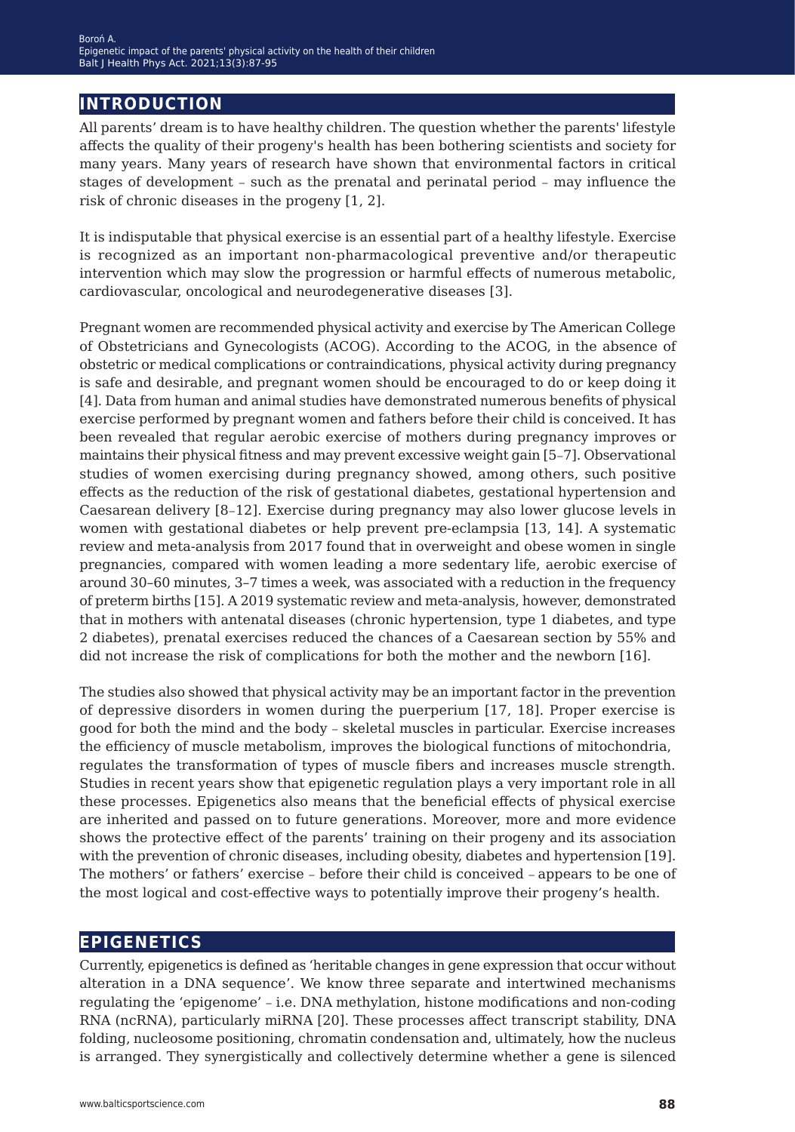### **introduction**

All parents' dream is to have healthy children. The question whether the parents' lifestyle affects the quality of their progeny's health has been bothering scientists and society for many years. Many years of research have shown that environmental factors in critical stages of development – such as the prenatal and perinatal period – may influence the risk of chronic diseases in the progeny [1, 2].

It is indisputable that physical exercise is an essential part of a healthy lifestyle. Exercise is recognized as an important non-pharmacological preventive and/or therapeutic intervention which may slow the progression or harmful effects of numerous metabolic, cardiovascular, oncological and neurodegenerative diseases [3].

Pregnant women are recommended physical activity and exercise by The American College of Obstetricians and Gynecologists (ACOG). According to the ACOG, in the absence of obstetric or medical complications or contraindications, physical activity during pregnancy is safe and desirable, and pregnant women should be encouraged to do or keep doing it [4]. Data from human and animal studies have demonstrated numerous benefits of physical exercise performed by pregnant women and fathers before their child is conceived. It has been revealed that regular aerobic exercise of mothers during pregnancy improves or maintains their physical fitness and may prevent excessive weight gain [5–7]. Observational studies of women exercising during pregnancy showed, among others, such positive effects as the reduction of the risk of gestational diabetes, gestational hypertension and Caesarean delivery [8–12]. Exercise during pregnancy may also lower glucose levels in women with gestational diabetes or help prevent pre-eclampsia [13, 14]. A systematic review and meta-analysis from 2017 found that in overweight and obese women in single pregnancies, compared with women leading a more sedentary life, aerobic exercise of around 30–60 minutes, 3–7 times a week, was associated with a reduction in the frequency of preterm births [15]. A 2019 systematic review and meta-analysis, however, demonstrated that in mothers with antenatal diseases (chronic hypertension, type 1 diabetes, and type 2 diabetes), prenatal exercises reduced the chances of a Caesarean section by 55% and did not increase the risk of complications for both the mother and the newborn [16].

The studies also showed that physical activity may be an important factor in the prevention of depressive disorders in women during the puerperium [17, 18]. Proper exercise is good for both the mind and the body – skeletal muscles in particular. Exercise increases the efficiency of muscle metabolism, improves the biological functions of mitochondria, regulates the transformation of types of muscle fibers and increases muscle strength. Studies in recent years show that epigenetic regulation plays a very important role in all these processes. Epigenetics also means that the beneficial effects of physical exercise are inherited and passed on to future generations. Moreover, more and more evidence shows the protective effect of the parents' training on their progeny and its association with the prevention of chronic diseases, including obesity, diabetes and hypertension [19]. The mothers' or fathers' exercise – before their child is conceived – appears to be one of the most logical and cost-effective ways to potentially improve their progeny's health.

#### **epigenetics**

Currently, epigenetics is defined as 'heritable changes in gene expression that occur without alteration in a DNA sequence'. We know three separate and intertwined mechanisms regulating the 'epigenome' – i.e. DNA methylation, histone modifications and non-coding RNA (ncRNA), particularly miRNA [20]. These processes affect transcript stability, DNA folding, nucleosome positioning, chromatin condensation and, ultimately, how the nucleus is arranged. They synergistically and collectively determine whether a gene is silenced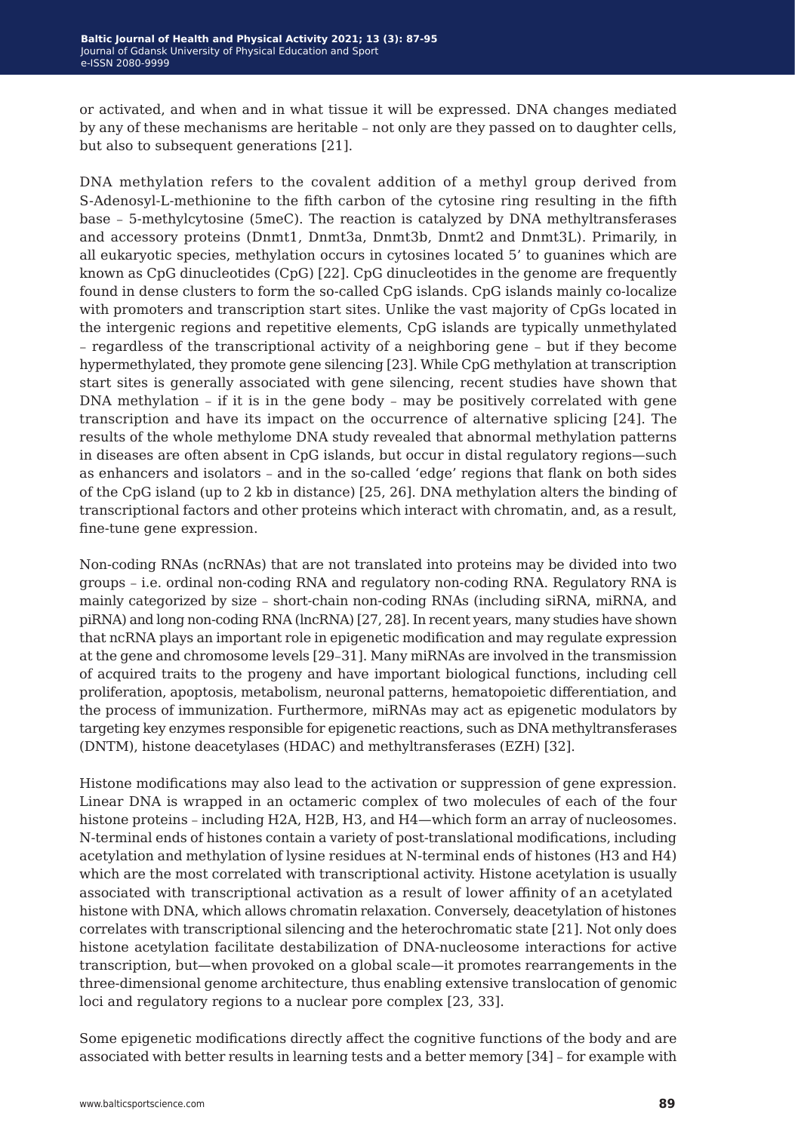or activated, and when and in what tissue it will be expressed. DNA changes mediated by any of these mechanisms are heritable – not only are they passed on to daughter cells, but also to subsequent generations [21].

DNA methylation refers to the covalent addition of a methyl group derived from S-Adenosyl-L-methionine to the fifth carbon of the cytosine ring resulting in the fifth base – 5-methylcytosine (5meC). The reaction is catalyzed by DNA methyltransferases and accessory proteins (Dnmt1, Dnmt3a, Dnmt3b, Dnmt2 and Dnmt3L). Primarily, in all eukaryotic species, methylation occurs in cytosines located 5' to guanines which are known as CpG dinucleotides (CpG) [22]. CpG dinucleotides in the genome are frequently found in dense clusters to form the so-called CpG islands. CpG islands mainly co-localize with promoters and transcription start sites. Unlike the vast majority of CpGs located in the intergenic regions and repetitive elements, CpG islands are typically unmethylated – regardless of the transcriptional activity of a neighboring gene – but if they become hypermethylated, they promote gene silencing [23]. While CpG methylation at transcription start sites is generally associated with gene silencing, recent studies have shown that DNA methylation – if it is in the gene body – may be positively correlated with gene transcription and have its impact on the occurrence of alternative splicing [24]. The results of the whole methylome DNA study revealed that abnormal methylation patterns in diseases are often absent in CpG islands, but occur in distal regulatory regions—such as enhancers and isolators – and in the so-called 'edge' regions that flank on both sides of the CpG island (up to 2 kb in distance) [25, 26]. DNA methylation alters the binding of transcriptional factors and other proteins which interact with chromatin, and, as a result, fine-tune gene expression.

Non-coding RNAs (ncRNAs) that are not translated into proteins may be divided into two groups – i.e. ordinal non-coding RNA and regulatory non-coding RNA. Regulatory RNA is mainly categorized by size – short-chain non-coding RNAs (including siRNA, miRNA, and piRNA) and long non-coding RNA (lncRNA) [27, 28]. In recent years, many studies have shown that ncRNA plays an important role in epigenetic modification and may regulate expression at the gene and chromosome levels [29–31]. Many miRNAs are involved in the transmission of acquired traits to the progeny and have important biological functions, including cell proliferation, apoptosis, metabolism, neuronal patterns, hematopoietic differentiation, and the process of immunization. Furthermore, miRNAs may act as epigenetic modulators by targeting key enzymes responsible for epigenetic reactions, such as DNA methyltransferases (DNTM), histone deacetylases (HDAC) and methyltransferases (EZH) [32].

Histone modifications may also lead to the activation or suppression of gene expression. Linear DNA is wrapped in an octameric complex of two molecules of each of the four histone proteins – including H2A, H2B, H3, and H4—which form an array of nucleosomes. N-terminal ends of histones contain a variety of post-translational modifications, including acetylation and methylation of lysine residues at N-terminal ends of histones (H3 and H4) which are the most correlated with transcriptional activity. Histone acetylation is usually associated with transcriptional activation as a result of lower affinity of an acetylated histone with DNA, which allows chromatin relaxation. Conversely, deacetylation of histones correlates with transcriptional silencing and the heterochromatic state [21]. Not only does histone acetylation facilitate destabilization of DNA-nucleosome interactions for active transcription, but—when provoked on a global scale—it promotes rearrangements in the three-dimensional genome architecture, thus enabling extensive translocation of genomic loci and regulatory regions to a nuclear pore complex [23, 33].

Some epigenetic modifications directly affect the cognitive functions of the body and are associated with better results in learning tests and a better memory [34] – for example with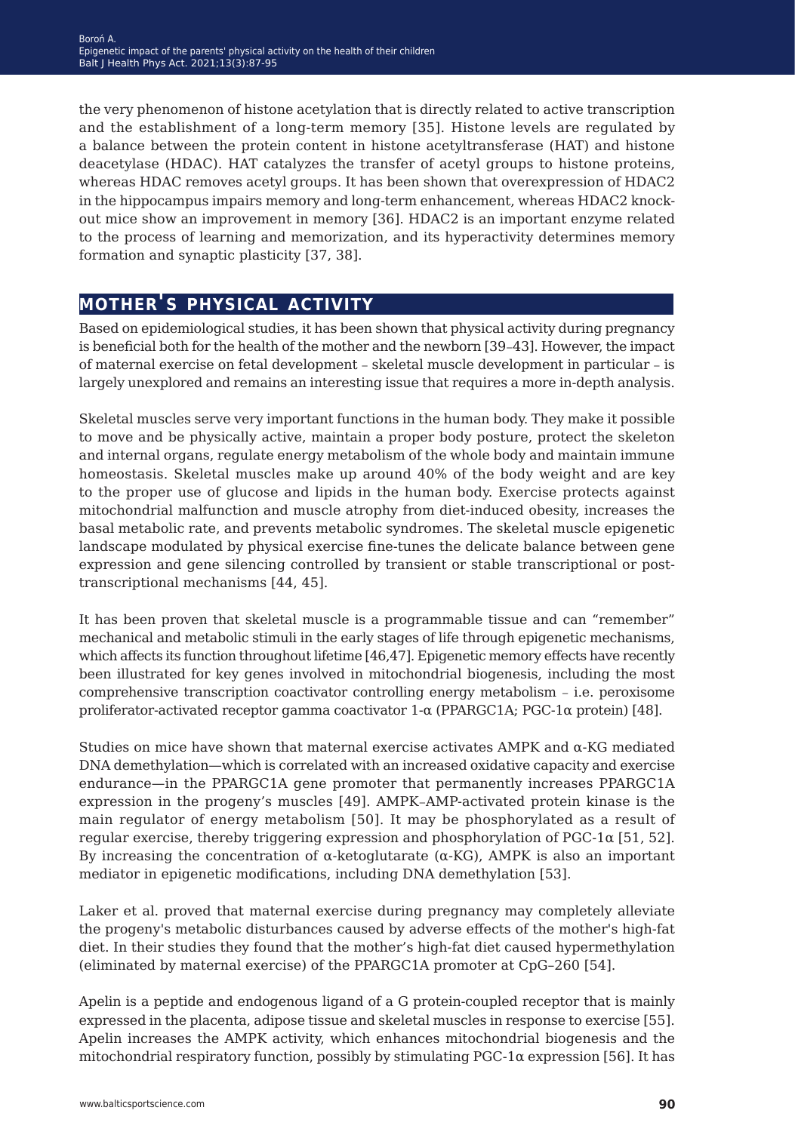the very phenomenon of histone acetylation that is directly related to active transcription and the establishment of a long-term memory [35]. Histone levels are regulated by a balance between the protein content in histone acetyltransferase (HAT) and histone deacetylase (HDAC). HAT catalyzes the transfer of acetyl groups to histone proteins, whereas HDAC removes acetyl groups. It has been shown that overexpression of HDAC2 in the hippocampus impairs memory and long-term enhancement, whereas HDAC2 knockout mice show an improvement in memory [36]. HDAC2 is an important enzyme related to the process of learning and memorization, and its hyperactivity determines memory formation and synaptic plasticity [37, 38].

### **mother's physical activity**

Based on epidemiological studies, it has been shown that physical activity during pregnancy is beneficial both for the health of the mother and the newborn [39–43]. However, the impact of maternal exercise on fetal development – skeletal muscle development in particular – is largely unexplored and remains an interesting issue that requires a more in-depth analysis.

Skeletal muscles serve very important functions in the human body. They make it possible to move and be physically active, maintain a proper body posture, protect the skeleton and internal organs, regulate energy metabolism of the whole body and maintain immune homeostasis. Skeletal muscles make up around 40% of the body weight and are key to the proper use of glucose and lipids in the human body. Exercise protects against mitochondrial malfunction and muscle atrophy from diet-induced obesity, increases the basal metabolic rate, and prevents metabolic syndromes. The skeletal muscle epigenetic landscape modulated by physical exercise fine-tunes the delicate balance between gene expression and gene silencing controlled by transient or stable transcriptional or posttranscriptional mechanisms [44, 45].

It has been proven that skeletal muscle is a programmable tissue and can "remember" mechanical and metabolic stimuli in the early stages of life through epigenetic mechanisms, which affects its function throughout lifetime [46,47]. Epigenetic memory effects have recently been illustrated for key genes involved in mitochondrial biogenesis, including the most comprehensive transcription coactivator controlling energy metabolism – i.e. peroxisome proliferator-activated receptor gamma coactivator  $1-\alpha$  (PPARGC1A; PGC-1 $\alpha$  protein) [48].

Studies on mice have shown that maternal exercise activates AMPK and  $\alpha$ -KG mediated DNA demethylation—which is correlated with an increased oxidative capacity and exercise endurance—in the PPARGC1A gene promoter that permanently increases PPARGC1A expression in the progeny's muscles [49]. AMPK–AMP-activated protein kinase is the main regulator of energy metabolism [50]. It may be phosphorylated as a result of regular exercise, thereby triggering expression and phosphorylation of  $PGC-1\alpha$  [51, 52]. By increasing the concentration of  $\alpha$ -ketoglutarate ( $\alpha$ -KG), AMPK is also an important mediator in epigenetic modifications, including DNA demethylation [53].

Laker et al. proved that maternal exercise during pregnancy may completely alleviate the progeny's metabolic disturbances caused by adverse effects of the mother's high-fat diet. In their studies they found that the mother's high-fat diet caused hypermethylation (eliminated by maternal exercise) of the PPARGC1A promoter at CpG–260 [54].

Apelin is a peptide and endogenous ligand of a G protein-coupled receptor that is mainly expressed in the placenta, adipose tissue and skeletal muscles in response to exercise [55]. Apelin increases the AMPK activity, which enhances mitochondrial biogenesis and the mitochondrial respiratory function, possibly by stimulating  $PGC-1\alpha$  expression [56]. It has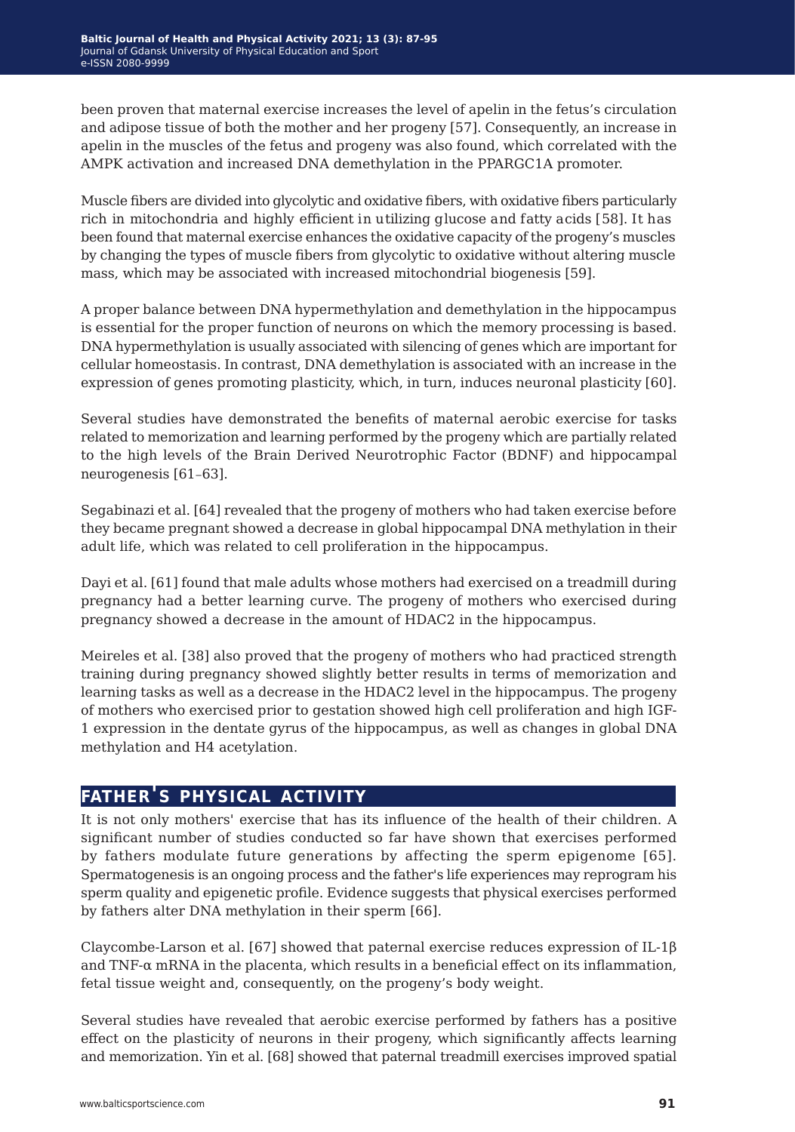been proven that maternal exercise increases the level of apelin in the fetus's circulation and adipose tissue of both the mother and her progeny [57]. Consequently, an increase in apelin in the muscles of the fetus and progeny was also found, which correlated with the AMPK activation and increased DNA demethylation in the PPARGC1A promoter.

Muscle fibers are divided into glycolytic and oxidative fibers, with oxidative fibers particularly rich in mitochondria and highly efficient in utilizing glucose and fatty acids [58]. It has been found that maternal exercise enhances the oxidative capacity of the progeny's muscles by changing the types of muscle fibers from glycolytic to oxidative without altering muscle mass, which may be associated with increased mitochondrial biogenesis [59].

A proper balance between DNA hypermethylation and demethylation in the hippocampus is essential for the proper function of neurons on which the memory processing is based. DNA hypermethylation is usually associated with silencing of genes which are important for cellular homeostasis. In contrast, DNA demethylation is associated with an increase in the expression of genes promoting plasticity, which, in turn, induces neuronal plasticity [60].

Several studies have demonstrated the benefits of maternal aerobic exercise for tasks related to memorization and learning performed by the progeny which are partially related to the high levels of the Brain Derived Neurotrophic Factor (BDNF) and hippocampal neurogenesis [61–63].

Segabinazi et al. [64] revealed that the progeny of mothers who had taken exercise before they became pregnant showed a decrease in global hippocampal DNA methylation in their adult life, which was related to cell proliferation in the hippocampus.

Dayi et al. [61] found that male adults whose mothers had exercised on a treadmill during pregnancy had a better learning curve. The progeny of mothers who exercised during pregnancy showed a decrease in the amount of HDAC2 in the hippocampus.

Meireles et al. [38] also proved that the progeny of mothers who had practiced strength training during pregnancy showed slightly better results in terms of memorization and learning tasks as well as a decrease in the HDAC2 level in the hippocampus. The progeny of mothers who exercised prior to gestation showed high cell proliferation and high IGF-1 expression in the dentate gyrus of the hippocampus, as well as changes in global DNA methylation and H4 acetylation.

### **father's physical activity**

It is not only mothers' exercise that has its influence of the health of their children. A significant number of studies conducted so far have shown that exercises performed by fathers modulate future generations by affecting the sperm epigenome [65]. Spermatogenesis is an ongoing process and the father's life experiences may reprogram his sperm quality and epigenetic profile. Evidence suggests that physical exercises performed by fathers alter DNA methylation in their sperm [66].

Claycombe-Larson et al. [67] showed that paternal exercise reduces expression of IL-1 $\beta$ and TNF-α mRNA in the placenta, which results in a beneficial effect on its inflammation, fetal tissue weight and, consequently, on the progeny's body weight.

Several studies have revealed that aerobic exercise performed by fathers has a positive effect on the plasticity of neurons in their progeny, which significantly affects learning and memorization. Yin et al. [68] showed that paternal treadmill exercises improved spatial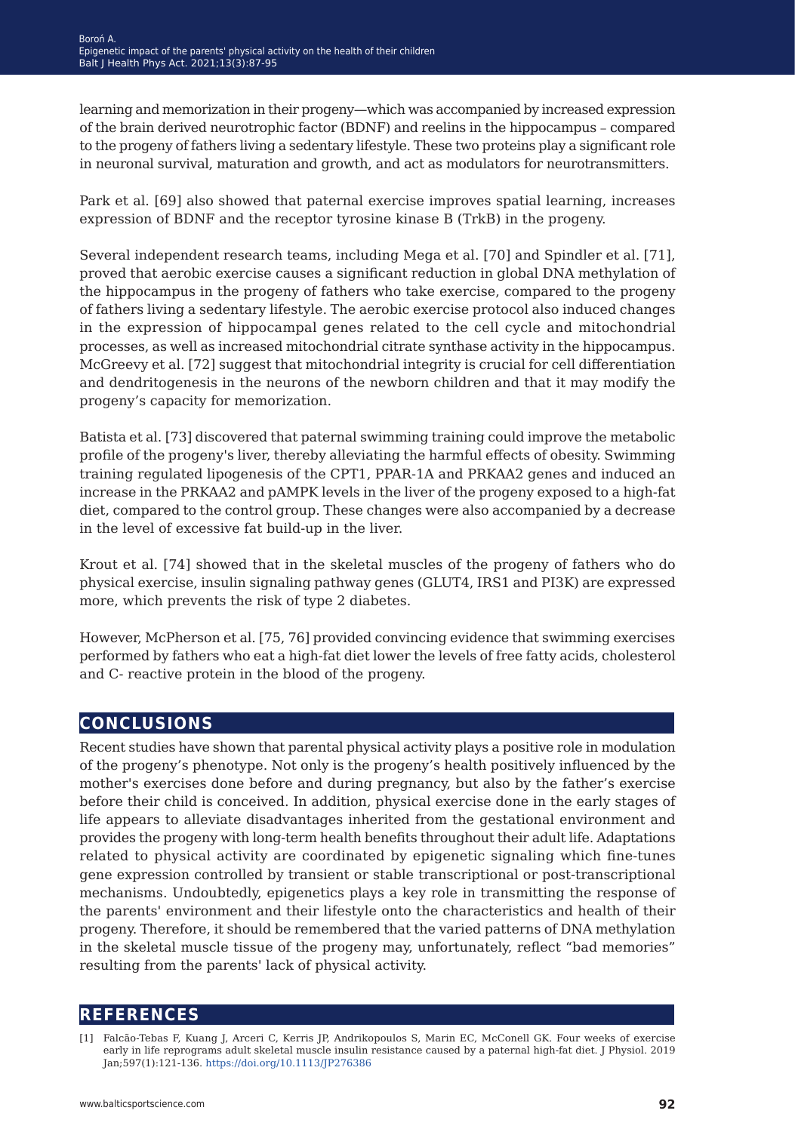learning and memorization in their progeny—which was accompanied by increased expression of the brain derived neurotrophic factor (BDNF) and reelins in the hippocampus – compared to the progeny of fathers living a sedentary lifestyle. These two proteins play a significant role in neuronal survival, maturation and growth, and act as modulators for neurotransmitters.

Park et al. [69] also showed that paternal exercise improves spatial learning, increases expression of BDNF and the receptor tyrosine kinase B (TrkB) in the progeny.

Several independent research teams, including Mega et al. [70] and Spindler et al. [71], proved that aerobic exercise causes a significant reduction in global DNA methylation of the hippocampus in the progeny of fathers who take exercise, compared to the progeny of fathers living a sedentary lifestyle. The aerobic exercise protocol also induced changes in the expression of hippocampal genes related to the cell cycle and mitochondrial processes, as well as increased mitochondrial citrate synthase activity in the hippocampus. McGreevy et al. [72] suggest that mitochondrial integrity is crucial for cell differentiation and dendritogenesis in the neurons of the newborn children and that it may modify the progeny's capacity for memorization.

Batista et al. [73] discovered that paternal swimming training could improve the metabolic profile of the progeny's liver, thereby alleviating the harmful effects of obesity. Swimming training regulated lipogenesis of the CPT1, PPAR-1Α and PRKAA2 genes and induced an increase in the PRKAA2 and pAMPK levels in the liver of the progeny exposed to a high-fat diet, compared to the control group. These changes were also accompanied by a decrease in the level of excessive fat build-up in the liver.

Krout et al. [74] showed that in the skeletal muscles of the progeny of fathers who do physical exercise, insulin signaling pathway genes (GLUT4, IRS1 and PI3K) are expressed more, which prevents the risk of type 2 diabetes.

However, McPherson et al. [75, 76] provided convincing evidence that swimming exercises performed by fathers who eat a high-fat diet lower the levels of free fatty acids, cholesterol and C- reactive protein in the blood of the progeny.

## **conclusions**

Recent studies have shown that parental physical activity plays a positive role in modulation of the progeny's phenotype. Not only is the progeny's health positively influenced by the mother's exercises done before and during pregnancy, but also by the father's exercise before their child is conceived. In addition, physical exercise done in the early stages of life appears to alleviate disadvantages inherited from the gestational environment and provides the progeny with long-term health benefits throughout their adult life. Adaptations related to physical activity are coordinated by epigenetic signaling which fine-tunes gene expression controlled by transient or stable transcriptional or post-transcriptional mechanisms. Undoubtedly, epigenetics plays a key role in transmitting the response of the parents' environment and their lifestyle onto the characteristics and health of their progeny. Therefore, it should be remembered that the varied patterns of DNA methylation in the skeletal muscle tissue of the progeny may, unfortunately, reflect "bad memories" resulting from the parents' lack of physical activity.

### **references**

<sup>[1]</sup> Falcão-Tebas F, Kuang J, Arceri C, Kerris JP, Andrikopoulos S, Marin EC, McConell GK. Four weeks of exercise early in life reprograms adult skeletal muscle insulin resistance caused by a paternal high-fat diet. J Physiol. 2019 Jan;597(1):121-136. <https://doi.org/10.1113/JP276386>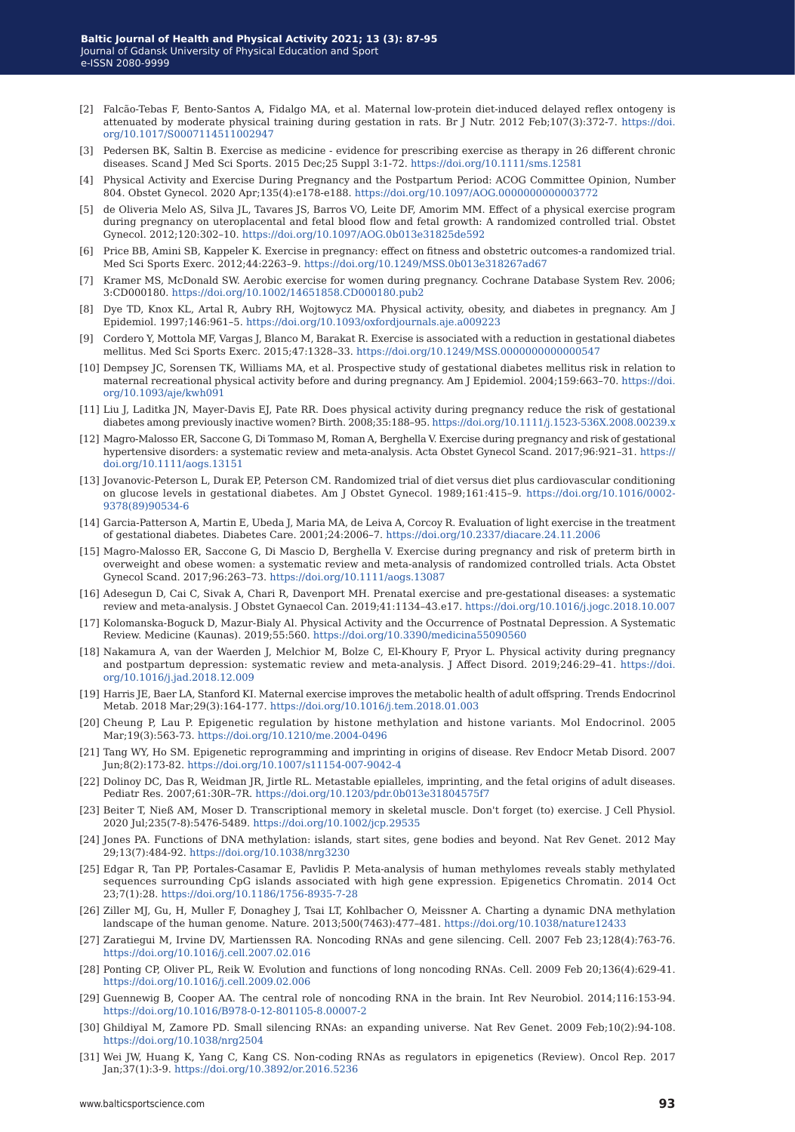- [2] Falcão-Tebas F, Bento-Santos A, Fidalgo MA, et al. Maternal low-protein diet-induced delayed reflex ontogeny is attenuated by moderate physical training during gestation in rats. Br J Nutr. 2012 Feb;107(3):372-7. [https://doi.](https://doi.org/10.1017/S0007114511002947) [org/10.1017/S0007114511002947](https://doi.org/10.1017/S0007114511002947)
- [3] Pedersen BK, Saltin B. Exercise as medicine evidence for prescribing exercise as therapy in 26 different chronic diseases. Scand J Med Sci Sports. 2015 Dec;25 Suppl 3:1-72.<https://doi.org/10.1111/sms.12581>
- [4] Physical Activity and Exercise During Pregnancy and the Postpartum Period: ACOG Committee Opinion, Number 804. Obstet Gynecol. 2020 Apr;135(4):e178-e188.<https://doi.org/10.1097/AOG.0000000000003772>
- [5] de Oliveria Melo AS, Silva JL, Tavares JS, Barros VO, Leite DF, Amorim MM. Effect of a physical exercise program during pregnancy on uteroplacental and fetal blood flow and fetal growth: A randomized controlled trial. Obstet Gynecol. 2012;120:302–10. <https://doi.org/10.1097/AOG.0b013e31825de592>
- [6] Price BB, Amini SB, Kappeler K. Exercise in pregnancy: effect on fitness and obstetric outcomes-a randomized trial. Med Sci Sports Exerc. 2012;44:2263–9. <https://doi.org/10.1249/MSS.0b013e318267ad67>
- [7] Kramer MS, McDonald SW. Aerobic exercise for women during pregnancy. Cochrane Database System Rev. 2006; 3:CD000180. <https://doi.org/10.1002/14651858.CD000180.pub2>
- [8] Dye TD, Knox KL, Artal R, Aubry RH, Wojtowycz MA. Physical activity, obesity, and diabetes in pregnancy. Am J Epidemiol. 1997;146:961–5. <https://doi.org/10.1093/oxfordjournals.aje.a009223>
- [9] Cordero Y, Mottola MF, Vargas J, Blanco M, Barakat R. Exercise is associated with a reduction in gestational diabetes mellitus. Med Sci Sports Exerc. 2015;47:1328–33.<https://doi.org/10.1249/MSS.0000000000000547>
- [10] Dempsey JC, Sorensen TK, Williams MA, et al. Prospective study of gestational diabetes mellitus risk in relation to maternal recreational physical activity before and during pregnancy. Am J Epidemiol. 2004;159:663–70. [https://doi.](https://doi.org/10.1093/aje/kwh091 ) [org/10.1093/aje/kwh091](https://doi.org/10.1093/aje/kwh091 )
- [11] Liu J, Laditka JN, Mayer-Davis EJ, Pate RR. Does physical activity during pregnancy reduce the risk of gestational diabetes among previously inactive women? Birth. 2008;35:188-95. [https://doi.org/10.1111/j.1523-536X.2008.00239.x](https://doi.org/10.1111/j.1523-536X.2008.00239.x )
- [12] Magro-Malosso ER, Saccone G, Di Tommaso M, Roman A, Berghella V. Exercise during pregnancy and risk of gestational hypertensive disorders: a systematic review and meta-analysis. Acta Obstet Gynecol Scand. 2017;96:921–31. [https://](https://doi.org/10.1111/aogs.13151) [doi.org/10.1111/aogs.13151](https://doi.org/10.1111/aogs.13151)
- [13] Jovanovic-Peterson L, Durak EP, Peterson CM. Randomized trial of diet versus diet plus cardiovascular conditioning on glucose levels in gestational diabetes. Am J Obstet Gynecol. 1989;161:415–9. [https://doi.org/10.1016/0002-](https://doi.org/10.1016/0002-9378(89)90534-6 ) [9378\(89\)90534-6](https://doi.org/10.1016/0002-9378(89)90534-6 )
- [14] Garcia-Patterson A, Martin E, Ubeda J, Maria MA, de Leiva A, Corcoy R. Evaluation of light exercise in the treatment of gestational diabetes. Diabetes Care. 2001;24:2006–7.<https://doi.org/10.2337/diacare.24.11.2006>
- [15] Magro-Malosso ER, Saccone G, Di Mascio D, Berghella V. Exercise during pregnancy and risk of preterm birth in overweight and obese women: a systematic review and meta-analysis of randomized controlled trials. Acta Obstet Gynecol Scand. 2017;96:263–73.<https://doi.org/10.1111/aogs.13087>
- [16] Adesegun D, Cai C, Sivak A, Chari R, Davenport MH. Prenatal exercise and pre-gestational diseases: a systematic review and meta-analysis. J Obstet Gynaecol Can. 2019;41:1134–43.e17. [https://doi.org/10.1016/j.jogc.2018.10.007](https://doi.org/10.1016/j.jogc.2018.10.007 )
- [17] Kolomanska-Boguck D, Mazur-Bialy Al. Physical Activity and the Occurrence of Postnatal Depression. A Systematic Review. Medicine (Kaunas). 2019;55:560.<https://doi.org/10.3390/medicina55090560>
- [18] Nakamura A, van der Waerden J, Melchior M, Bolze C, El-Khoury F, Pryor L. Physical activity during pregnancy and postpartum depression: systematic review and meta-analysis. J Affect Disord. 2019;246:29–41. [https://doi.](https://doi.org/10.1016/j.jad.2018.12.009 ) [org/10.1016/j.jad.2018.12.009](https://doi.org/10.1016/j.jad.2018.12.009 )
- [19] Harris JE, Baer LA, Stanford KI. Maternal exercise improves the metabolic health of adult offspring. Trends Endocrinol Metab. 2018 Mar;29(3):164-177. <https://doi.org/10.1016/j.tem.2018.01.003>
- [20] Cheung P, Lau P. Epigenetic regulation by histone methylation and histone variants. Mol Endocrinol. 2005 Mar;19(3):563-73.<https://doi.org/10.1210/me.2004-0496>
- [21] Tang WY, Ho SM. Epigenetic reprogramming and imprinting in origins of disease. Rev Endocr Metab Disord. 2007 Jun;8(2):173-82. <https://doi.org/10.1007/s11154-007-9042-4>
- [22] Dolinoy DC, Das R, Weidman JR, Jirtle RL. Metastable epialleles, imprinting, and the fetal origins of adult diseases. Pediatr Res. 2007;61:30R–7R.<https://doi.org/10.1203/pdr.0b013e31804575f7>
- [23] Beiter T, Nieß AM, Moser D. Transcriptional memory in skeletal muscle. Don't forget (to) exercise. J Cell Physiol. 2020 Jul;235(7-8):5476-5489. <https://doi.org/10.1002/jcp.29535>
- [24] Jones PA. Functions of DNA methylation: islands, start sites, gene bodies and beyond. Nat Rev Genet. 2012 May 29;13(7):484-92.<https://doi.org/10.1038/nrg3230>
- [25] Edgar R, Tan PP, Portales-Casamar E, Pavlidis P. Meta-analysis of human methylomes reveals stably methylated sequences surrounding CpG islands associated with high gene expression. Epigenetics Chromatin. 2014 Oct 23;7(1):28. [https://doi.org/10.1186/1756-8935-7-28](https://doi.org/10.1186/1756-8935-7-28 )
- [26] Ziller MJ, Gu, H, Muller F, Donaghey J, Tsai LT, Kohlbacher O, Meissner A. Charting a dynamic DNA methylation landscape of the human genome. Nature. 2013;500(7463):477–481. <https://doi.org/10.1038/nature12433>
- [27] Zaratiegui M, Irvine DV, Martienssen RA. Noncoding RNAs and gene silencing. Cell. 2007 Feb 23;128(4):763-76. <https://doi.org/10.1016/j.cell.2007.02.016>
- [28] Ponting CP, Oliver PL, Reik W. Evolution and functions of long noncoding RNAs. Cell. 2009 Feb 20;136(4):629-41. <https://doi.org/10.1016/j.cell.2009.02.006>
- [29] Guennewig B, Cooper AA. The central role of noncoding RNA in the brain. Int Rev Neurobiol. 2014;116:153-94. <https://doi.org/10.1016/B978-0-12-801105-8.00007-2>
- [30] Ghildiyal M, Zamore PD. Small silencing RNAs: an expanding universe. Nat Rev Genet. 2009 Feb;10(2):94-108. <https://doi.org/10.1038/nrg2504>
- [31] Wei JW, Huang K, Yang C, Kang CS. Non-coding RNAs as regulators in epigenetics (Review). Oncol Rep. 2017 Jan;37(1):3-9.<https://doi.org/10.3892/or.2016.5236>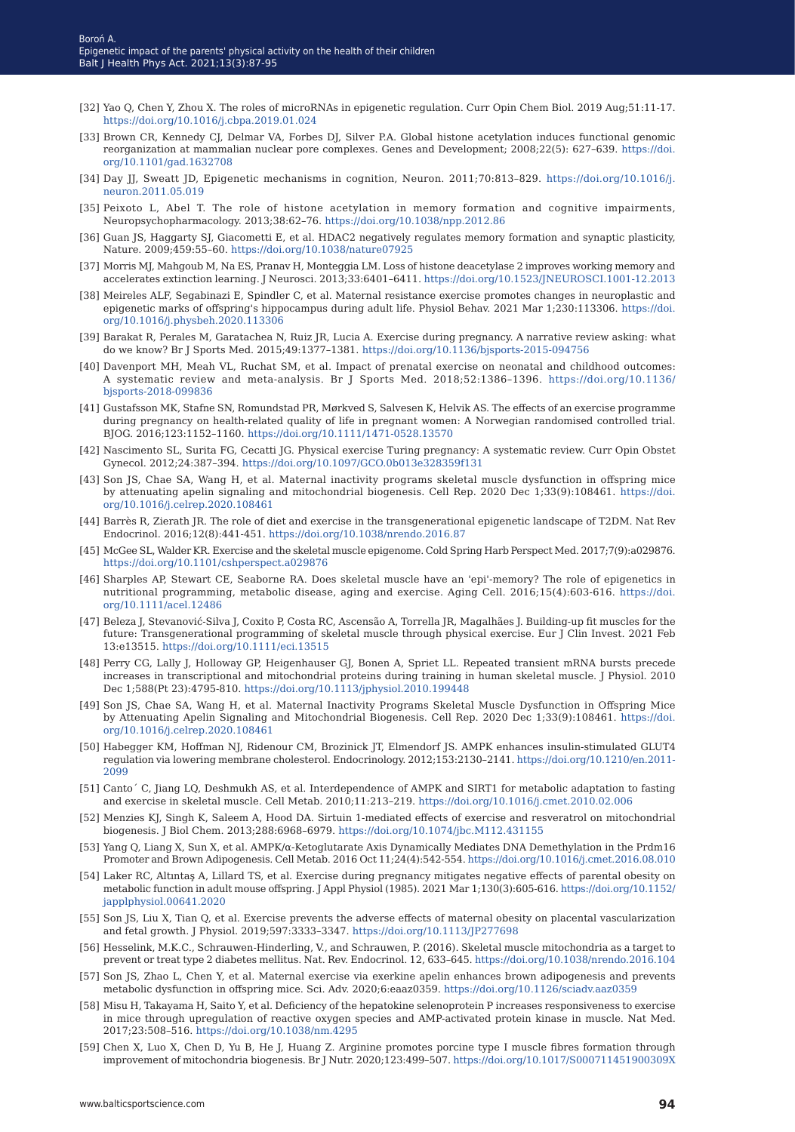- [32] Yao Q, Chen Y, Zhou X. The roles of microRNAs in epigenetic regulation. Curr Opin Chem Biol. 2019 Aug;51:11-17. <https://doi.org/10.1016/j.cbpa.2019.01.024>
- [33] Brown CR, Kennedy CJ, Delmar VA, Forbes DJ, Silver P.A. Global histone acetylation induces functional genomic reorganization at mammalian nuclear pore complexes. Genes and Development; 2008;22(5): 627–639. [https://doi.](https://doi.org/10.1101/gad.1632708 ) [org/10.1101/gad.1632708](https://doi.org/10.1101/gad.1632708 )
- [34] Day JJ, Sweatt JD, Epigenetic mechanisms in cognition, Neuron. 2011;70:813–829. [https://doi.org/10.1016/j.](https://doi.org/10.1016/j.neuron.2011.05.019 ) [neuron.2011.05.019](https://doi.org/10.1016/j.neuron.2011.05.019 )
- [35] Peixoto L, Abel T. The role of histone acetylation in memory formation and cognitive impairments, Neuropsychopharmacology. 2013;38:62–76. <https://doi.org/10.1038/npp.2012.86>
- [36] Guan JS, Haggarty SJ, Giacometti E, et al. HDAC2 negatively regulates memory formation and synaptic plasticity, Nature. 2009;459:55–60. [https://doi.org/10.1038/nature07925]( https://doi.org/10.1038/nature07925)
- [37] Morris MJ, Mahgoub M, Na ES, Pranav H, Monteggia LM. Loss of histone deacetylase 2 improves working memory and accelerates extinction learning. J Neurosci. 2013;33:6401–6411. [https://doi.org/10.1523/JNEUROSCI.1001-12.2013](https://doi.org/10.1523/JNEUROSCI.1001-12.2013 )
- [38] Meireles ALF, Segabinazi E, Spindler C, et al. Maternal resistance exercise promotes changes in neuroplastic and epigenetic marks of offspring's hippocampus during adult life. Physiol Behav. 2021 Mar 1;230:113306. [https://doi.](https://doi.org/10.1016/j.physbeh.2020.113306 ) [org/10.1016/j.physbeh.2020.113306](https://doi.org/10.1016/j.physbeh.2020.113306 )
- [39] Barakat R, Perales M, Garatachea N, Ruiz JR, Lucia A. Exercise during pregnancy. A narrative review asking: what do we know? Br J Sports Med. 2015;49:1377–1381.<https://doi.org/10.1136/bjsports-2015-094756>
- [40] Davenport MH, Meah VL, Ruchat SM, et al. Impact of prenatal exercise on neonatal and childhood outcomes: A systematic review and meta-analysis. Br J Sports Med. 2018;52:1386–1396. [https://doi.org/10.1136/](https://doi.org/10.1136/bjsports-2018-099836  ) [bjsports-2018-099836](https://doi.org/10.1136/bjsports-2018-099836  )
- [41] Gustafsson MK, Stafne SN, Romundstad PR, Mørkved S, Salvesen K, Helvik AS. The effects of an exercise programme during pregnancy on health-related quality of life in pregnant women: A Norwegian randomised controlled trial. BJOG. 2016;123:1152–1160. <https://doi.org/10.1111/1471-0528.13570>
- [42] Nascimento SL, Surita FG, Cecatti JG. Physical exercise Turing pregnancy: A systematic review. Curr Opin Obstet Gynecol. 2012;24:387–394. <https://doi.org/10.1097/GCO.0b013e328359f131>
- [43] Son JS, Chae SA, Wang H, et al. Maternal inactivity programs skeletal muscle dysfunction in offspring mice by attenuating apelin signaling and mitochondrial biogenesis. Cell Rep. 2020 Dec 1;33(9):108461. [https://doi.](https://doi.org/10.1016/j.celrep.2020.108461 ) [org/10.1016/j.celrep.2020.108461](https://doi.org/10.1016/j.celrep.2020.108461 )
- [44] Barrès R, Zierath JR. The role of diet and exercise in the transgenerational epigenetic landscape of T2DM. Nat Rev Endocrinol. 2016;12(8):441-451. <https://doi.org/10.1038/nrendo.2016.87>
- [45] McGee SL, Walder KR. Exercise and the skeletal muscle epigenome. Cold Spring Harb Perspect Med. 2017;7(9):a029876. <https://doi.org/10.1101/cshperspect.a029876>
- [46] Sharples AP, Stewart CE, Seaborne RA. Does skeletal muscle have an 'epi'‐memory? The role of epigenetics in nutritional programming, metabolic disease, aging and exercise. Aging Cell. 2016;15(4):603‐616. [https://doi.](https://doi.org/10.1111/acel.12486 ) [org/10.1111/acel.12486](https://doi.org/10.1111/acel.12486 )
- [47] Beleza J, Stevanović-Silva J, Coxito P, Costa RC, Ascensão A, Torrella JR, Magalhães J. Building-up fit muscles for the future: Transgenerational programming of skeletal muscle through physical exercise. Eur J Clin Invest. 2021 Feb 13:e13515. <https://doi.org/10.1111/eci.13515>
- [48] Perry CG, Lally J, Holloway GP, Heigenhauser GJ, Bonen A, Spriet LL. Repeated transient mRNA bursts precede increases in transcriptional and mitochondrial proteins during training in human skeletal muscle. J Physiol. 2010 Dec 1;588(Pt 23):4795-810[. https://doi.org/10.1113/jphysiol.2010.199448]( https://doi.org/10.1113/jphysiol.2010.199448)
- [49] Son JS, Chae SA, Wang H, et al. Maternal Inactivity Programs Skeletal Muscle Dysfunction in Offspring Mice by Attenuating Apelin Signaling and Mitochondrial Biogenesis. Cell Rep. 2020 Dec 1;33(9):108461. [https://doi.](https://doi.org/10.1016/j.celrep.2020.108461 ) [org/10.1016/j.celrep.2020.108461](https://doi.org/10.1016/j.celrep.2020.108461 )
- [50] Habegger KM, Hoffman NJ, Ridenour CM, Brozinick JT, Elmendorf JS. AMPK enhances insulin-stimulated GLUT4 regulation via lowering membrane cholesterol. Endocrinology. 2012;153:2130–2141. [https://doi.org/10.1210/en.2011-](https://doi.org/10.1210/en.2011-2099 ) [2099](https://doi.org/10.1210/en.2011-2099 )
- [51] Canto´ C, Jiang LQ, Deshmukh AS, et al. Interdependence of AMPK and SIRT1 for metabolic adaptation to fasting and exercise in skeletal muscle. Cell Metab. 2010;11:213–219. [https://doi.org/10.1016/j.cmet.2010.02.006](https://doi.org/10.1016/j.cmet.2010.02.006 )
- [52] Menzies KJ, Singh K, Saleem A, Hood DA. Sirtuin 1-mediated effects of exercise and resveratrol on mitochondrial biogenesis. J Biol Chem. 2013;288:6968–6979.<https://doi.org/10.1074/jbc.M112.431155>
- [53] Yang Q, Liang X, Sun X, et al. AMPK/α-Ketoglutarate Axis Dynamically Mediates DNA Demethylation in the Prdm16 Promoter and Brown Adipogenesis. Cell Metab. 2016 Oct 11;24(4):542-554. [https://doi.org/10.1016/j.cmet.2016.08.010](https://doi.org/10.1016/j.cmet.2016.08.010 )
- [54] Laker RC, Altıntaş A, Lillard TS, et al. Exercise during pregnancy mitigates negative effects of parental obesity on metabolic function in adult mouse offspring. J Appl Physiol (1985). 2021 Mar 1;130(3):605-616. [https://doi.org/10.1152/](https://doi.org/10.1152/japplphysiol.00641.2020 ) [japplphysiol.00641.2020](https://doi.org/10.1152/japplphysiol.00641.2020 )
- [55] Son JS, Liu X, Tian Q, et al. Exercise prevents the adverse effects of maternal obesity on placental vascularization and fetal growth. J Physiol. 2019;597:3333–3347.<https://doi.org/10.1113/JP277698>
- [56] Hesselink, M.K.C., Schrauwen-Hinderling, V., and Schrauwen, P. (2016). Skeletal muscle mitochondria as a target to prevent or treat type 2 diabetes mellitus. Nat. Rev. Endocrinol. 12, 633–645. [https://doi.org/10.1038/nrendo.2016.104](https://doi.org/10.1038/nrendo.2016.104 )
- [57] Son JS, Zhao L, Chen Y, et al. Maternal exercise via exerkine apelin enhances brown adipogenesis and prevents metabolic dysfunction in offspring mice. Sci. Adv. 2020;6:eaaz0359. [https://doi.org/10.1126/sciadv.aaz0359](https://doi.org/10.1126/sciadv.aaz0359 )
- [58] Misu H, Takayama H, Saito Y, et al. Deficiency of the hepatokine selenoprotein P increases responsiveness to exercise in mice through upregulation of reactive oxygen species and AMP-activated protein kinase in muscle. Nat Med. 2017;23:508–516. <https://doi.org/10.1038/nm.4295>
- [59] Chen X, Luo X, Chen D, Yu B, He J, Huang Z. Arginine promotes porcine type I muscle fibres formation through improvement of mitochondria biogenesis. Br J Nutr. 2020;123:499–507.<https://doi.org/10.1017/S000711451900309X>